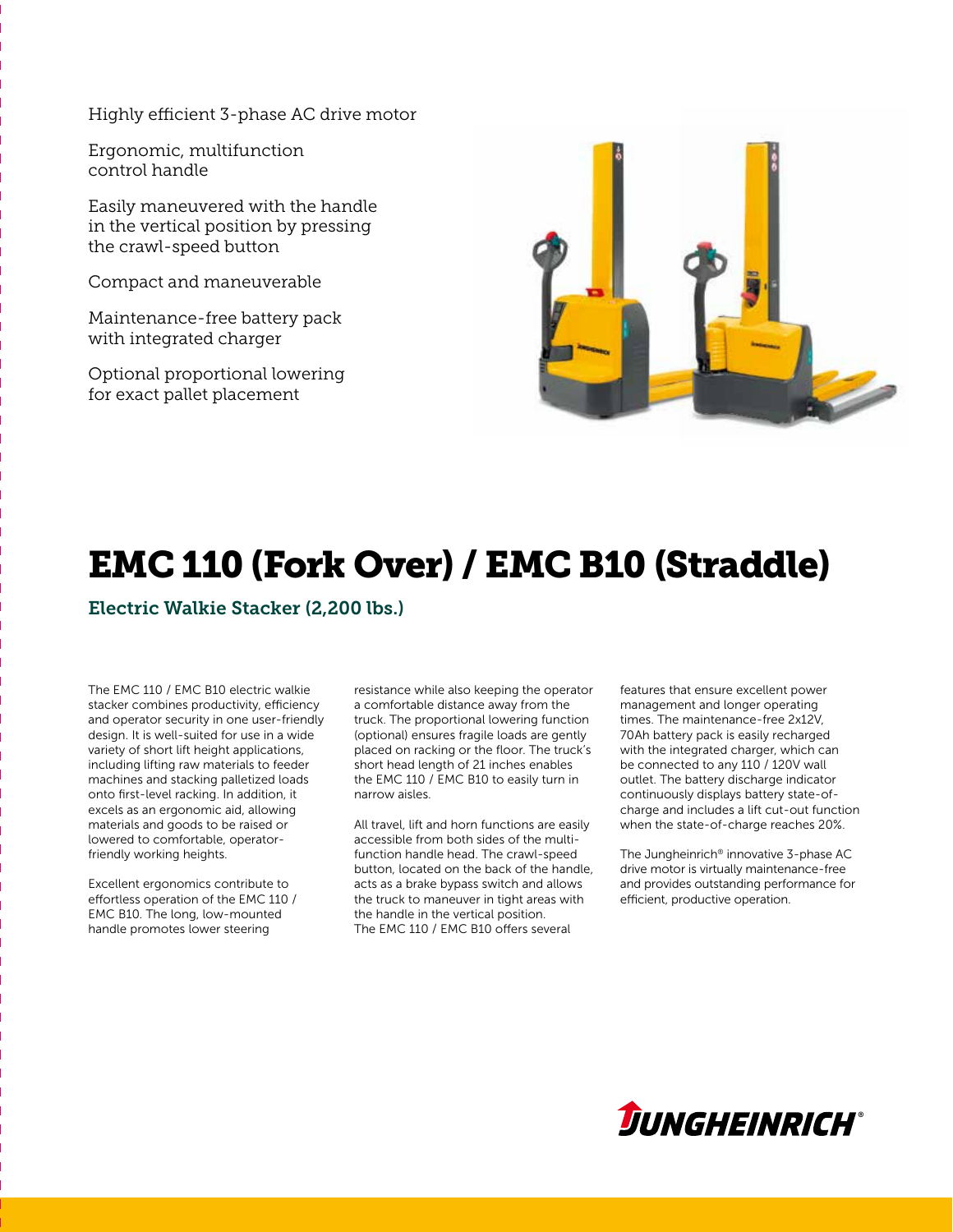Highly efficient 3-phase AC drive motor

Ergonomic, multifunction control handle

Easily maneuvered with the handle in the vertical position by pressing the crawl-speed button

Compact and maneuverable

Maintenance-free battery pack with integrated charger

Optional proportional lowering for exact pallet placement



# EMC 110 (Fork Over) / EMC B10 (Straddle)

Electric Walkie Stacker (2,200 lbs.)

The EMC 110  /  EMC B10 electric walkie stacker combines productivity, efficiency and operator security in one user-friendly design. It is well-suited for use in a wide variety of short lift height applications, including lifting raw materials to feeder machines and stacking palletized loads onto first-level racking. In addition, it excels as an ergonomic aid, allowing materials and goods to be raised or lowered to comfortable, operatorfriendly working heights.

Excellent ergonomics contribute to effortless operation of the EMC 110  /   EMC B10. The long, low-mounted handle promotes lower steering

resistance while also keeping the operator a comfortable distance away from the truck. The proportional lowering function (optional) ensures fragile loads are gently placed on racking or the floor. The truck's short head length of 21 inches enables the EMC 110 / EMC B10 to easily turn in narrow aisles.

All travel, lift and horn functions are easily accessible from both sides of the multifunction handle head. The crawl-speed button, located on the back of the handle, acts as a brake bypass switch and allows the truck to maneuver in tight areas with the handle in the vertical position. The EMC 110 / EMC B10 offers several

features that ensure excellent power management and longer operating times. The maintenance-free 2x12V, 70 Ah battery pack is easily recharged with the integrated charger, which can be connected to any 110 / 120V wall outlet. The battery discharge indicator continuously displays battery state-ofcharge and includes a lift cut-out function when the state-of-charge reaches 20%.

The Jungheinrich® innovative 3-phase AC drive motor is virtually maintenance-free and provides outstanding performance for efficient, productive operation.

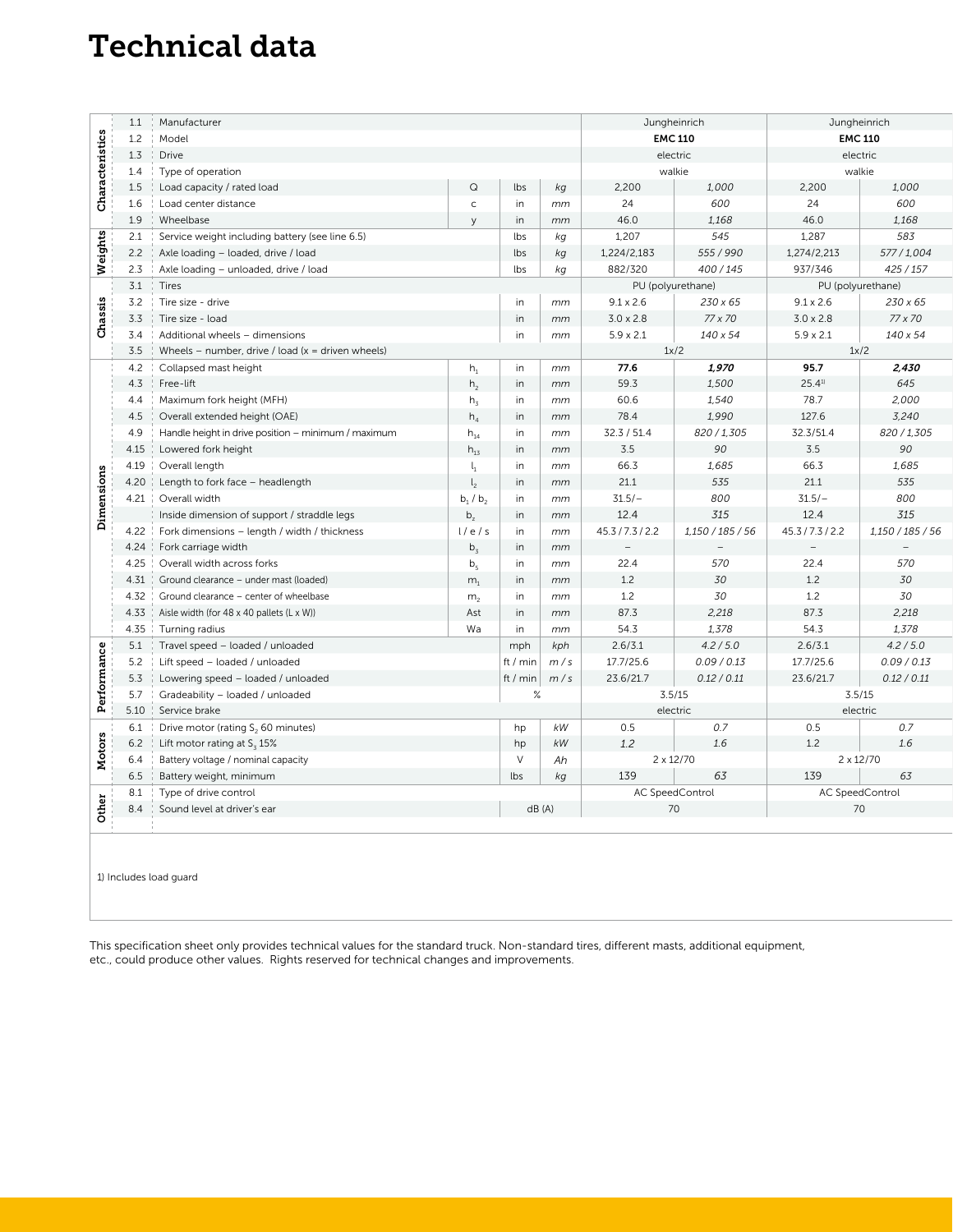### Technical data

|                                    | 1.1  | Manufacturer                                         |                |          |        |                  | Jungheinrich      |                  | Jungheinrich      |
|------------------------------------|------|------------------------------------------------------|----------------|----------|--------|------------------|-------------------|------------------|-------------------|
| cteristics<br>ara                  | 1.2  | Model                                                |                |          |        | <b>EMC 110</b>   |                   | <b>EMC 110</b>   |                   |
|                                    | 1.3  | <b>Drive</b>                                         |                |          |        | electric         |                   | electric         |                   |
|                                    | 1.4  | Type of operation                                    |                |          |        | walkie           |                   | walkie           |                   |
|                                    | 1.5  | Load capacity / rated load                           | $\mathsf Q$    | lbs      | kg     | 2,200            | 1,000             | 2,200            | 1,000             |
| රි                                 | 1.6  | Load center distance                                 | $\mathsf{C}$   | in       | mm     | 24               | 600               | 24               | 600               |
|                                    | 1.9  | Wheelbase                                            | $\vee$         | in       | mm     | 46.0             | 1,168             | 46.0             | 1,168             |
|                                    | 2.1  | Service weight including battery (see line 6.5)      |                | lbs      | kg     | 1,207            | 545               | 1,287            | 583               |
| Weights                            | 2.2  | Axle loading - loaded, drive / load                  |                | lbs      | kg     | 1,224/2,183      | 555 / 990         | 1,274/2,213      | 577/1,004         |
|                                    | 2.3  | Axle loading - unloaded, drive / load                |                | lbs      | kg     | 882/320          | 400/145           | 937/346          | 425 / 157         |
|                                    | 3.1  | Tires                                                |                |          |        |                  | PU (polyurethane) |                  | PU (polyurethane) |
|                                    | 3.2  | Tire size - drive                                    |                | in       | mm     | $9.1 \times 2.6$ | 230 x 65          | $9.1 \times 2.6$ | 230 x 65          |
| Chassis                            | 3.3  | Tire size - load                                     |                | in       | mm     | $3.0 \times 2.8$ | 77 x 70           | $3.0 \times 2.8$ | 77 x 70           |
|                                    | 3.4  | Additional wheels - dimensions                       |                | in       | mm     | $5.9 \times 2.1$ | 140 x 54          | $5.9 \times 2.1$ | 140 x 54          |
|                                    | 3.5  | Wheels – number, drive / load ( $x =$ driven wheels) |                |          |        | 1x/2             |                   | 1x/2             |                   |
|                                    | 4.2  | Collapsed mast height                                | $h_1$          | in       | mm     | 77.6             | 1,970             | 95.7             | 2,430             |
|                                    | 4.3  | Free-lift                                            | h <sub>2</sub> | in       | mm     | 59.3             | 1,500             | 25.41            | 645               |
|                                    | 4.4  | Maximum fork height (MFH)                            | h <sub>3</sub> | in       | mm     | 60.6             | 1,540             | 78.7             | 2,000             |
|                                    | 4.5  | Overall extended height (OAE)                        | $h_4$          | in       | mm     | 78.4             | 1,990             | 127.6            | 3,240             |
|                                    | 4.9  | Handle height in drive position - minimum / maximum  | $h_{14}$       | in       | mm     | 32.3 / 51.4      | 820 / 1,305       | 32.3/51.4        | 820/1,305         |
|                                    | 4.15 | Lowered fork height                                  | $h_{13}$       | in       | mm     | 3.5              | 90                | 3.5              | 90                |
| Dimensions                         | 4.19 | Overall length                                       | $l_1$          | in       | mm     | 66.3             | 1,685             | 66.3             | 1,685             |
|                                    | 4.20 | Length to fork face - headlength                     | $\mathsf{I}_2$ | in       | mm     | 21.1             | 535               | 21.1             | 535               |
|                                    | 4.21 | Overall width                                        | $b_1/b_2$      | in       | mm     | $31.5/-$         | 800               | $31.5/-$         | 800               |
|                                    |      | Inside dimension of support / straddle legs          | $b_z$          | in       | mm     | 12.4             | 315               | 12.4             | 315               |
|                                    | 4.22 | Fork dimensions - length / width / thickness         | 1/e/s          | in       | mm     | 45.3 / 7.3 / 2.2 | 1,150 / 185 / 56  | 45.3/7.3/2.2     | 1,150 / 185 / 56  |
|                                    | 4.24 | Fork carriage width                                  | b <sub>z</sub> | in       | mm     |                  |                   |                  |                   |
|                                    | 4.25 | Overall width across forks                           | b <sub>5</sub> | in       | mm     | 22.4             | 570               | 22.4             | 570               |
|                                    | 4.31 | Ground clearance - under mast (loaded)               | m <sub>1</sub> | in       | mm     | 1.2              | 30                | 1.2              | 30                |
|                                    | 4.32 | Ground clearance - center of wheelbase               | m <sub>2</sub> | in       | mm     | 1.2              | 30                | 1.2              | 30                |
|                                    | 4.33 | Aisle width (for 48 x 40 pallets (L x W))            | Ast            | in       | mm     | 87.3             | 2,218             | 87.3             | 2,218             |
|                                    | 4.35 | Turning radius                                       | Wa             | in       | mm     | 54.3             | 1,378             | 54.3             | 1,378             |
|                                    | 5.1  | Travel speed - loaded / unloaded                     |                | mph      | kph    | 2.6/3.1          | 4.2/5.0           | 2.6/3.1          | 4.2 / 5.0         |
|                                    | 5.2  | Lift speed - loaded / unloaded                       |                | ft / min | m/s    | 17.7/25.6        | 0.09 / 0.13       | 17.7/25.6        | 0.09 / 0.13       |
|                                    | 5.3  | Lowering speed - loaded / unloaded                   |                | ft / min | m/s    | 23.6/21.7        | 0.12 / 0.11       | 23.6/21.7        | 0.12 / 0.11       |
|                                    | 5.7  | Gradeability - loaded / unloaded<br>%                |                |          | 3.5/15 |                  | 3.5/15            |                  |                   |
|                                    | 5.10 | Service brake                                        |                |          |        |                  | electric          |                  | electric          |
|                                    | 6.1  | Drive motor (rating S <sub>2</sub> 60 minutes)       |                | hp       | kW     | 0.5              | 0.7               | 0.5              | 0.7               |
| ပ္ပ<br>Perform<br>Motors<br>ង<br>Š | 6.2  | Lift motor rating at $S_3$ 15%                       |                | hp       | kW     | 1.2              | 1.6               | 1.2              | 1.6               |
|                                    | 6.4  | Battery voltage / nominal capacity                   |                | $\vee$   | Ah     |                  | $2 \times 12/70$  |                  | 2 x 12/70         |
|                                    | 6.5  | Battery weight, minimum                              |                | lbs      | kg     | 139              | 63                | 139              | 63                |
|                                    | 8.1  | Type of drive control                                |                |          |        | AC SpeedControl  |                   | AC SpeedControl  |                   |
|                                    | 8.4  | dB(A)<br>Sound level at driver's ear                 |                |          |        |                  | 70                | 70               |                   |
|                                    |      |                                                      |                |          |        |                  |                   |                  |                   |

1) Includes load guard

This specification sheet only provides technical values for the standard truck. Non-standard tires, different masts, additional equipment, etc., could produce other values. Rights reserved for technical changes and improvements.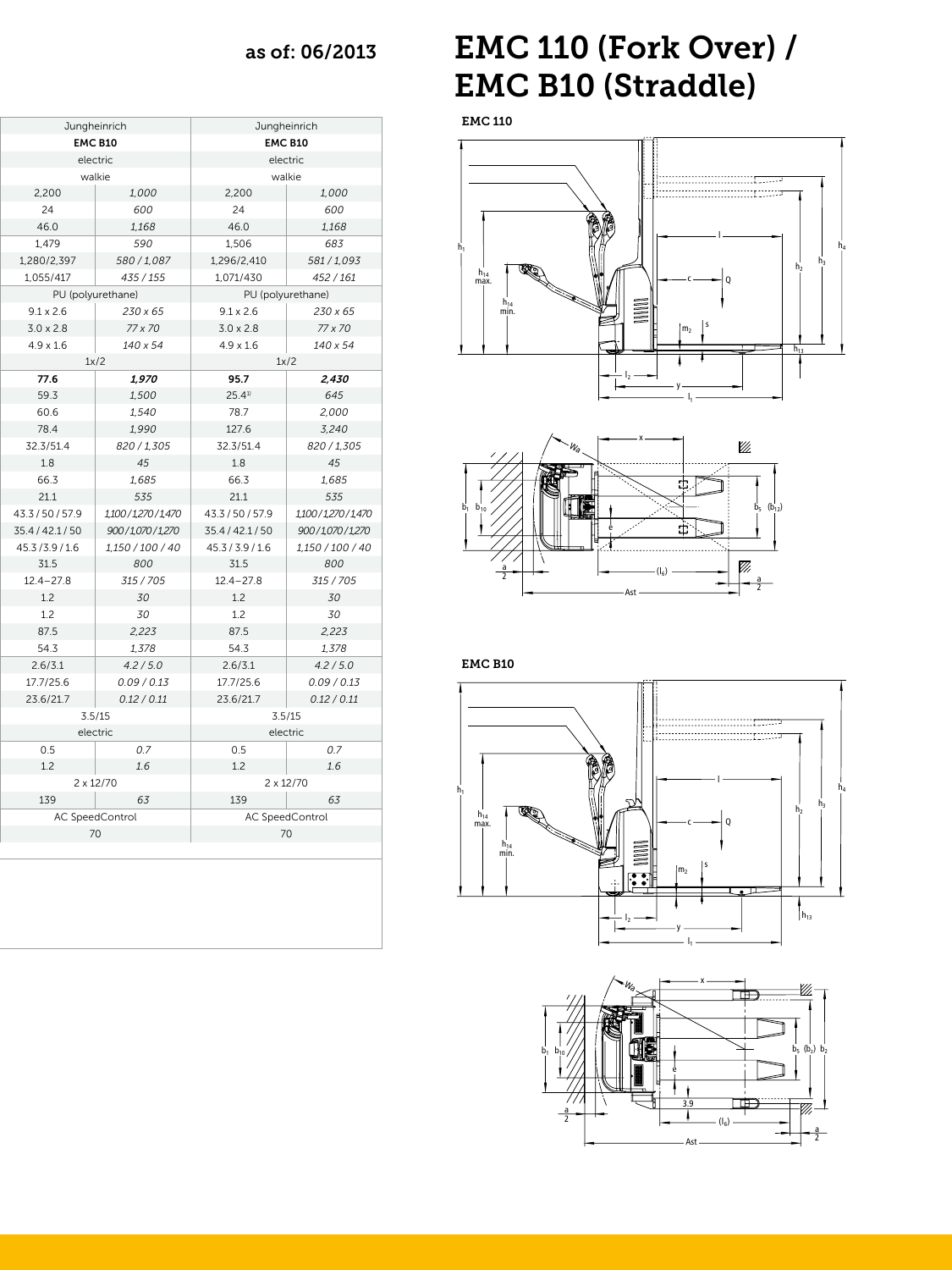### $\cos \theta$  as of: 06/2013

| Jungheinrich      |                                      | Jungheinrich           |  |  |
|-------------------|--------------------------------------|------------------------|--|--|
| <b>EMC B10</b>    |                                      | <b>EMC B10</b>         |  |  |
| electric          |                                      | electric               |  |  |
| walkie            |                                      | walkie                 |  |  |
| 2,200             | 1,000<br>2,200                       | 1,000                  |  |  |
| 24                | 600<br>24                            | 600                    |  |  |
| 46.0              | 1,168<br>46.0                        | 1,168                  |  |  |
| 1,479             | 590<br>1,506                         | 683                    |  |  |
| 1,280/2,397       | 580/1,087<br>1,296/2,410             | 581/1,093              |  |  |
| 1,055/417         | 435 / 155<br>1,071/430               | 452 / 161              |  |  |
| PU (polyurethane) |                                      | PU (polyurethane)      |  |  |
| $9.1 \times 2.6$  | 230 x 65<br>$9.1 \times 2.6$         | 230 x 65               |  |  |
| $3.0 \times 2.8$  | 77 x 70<br>$3.0 \times 2.8$          | 77 x 70                |  |  |
| $4.9 \times 1.6$  | 140 x 54<br>$4.9 \times 1.6$         | 140 x 54               |  |  |
| 1x/2              |                                      | 1x/2                   |  |  |
| 77.6              | 1,970<br>95.7                        | 2,430                  |  |  |
| 59.3              | 25.41<br>1,500                       | 645                    |  |  |
| 60.6              | 1,540<br>78.7                        | 2,000                  |  |  |
| 78.4              | 1,990<br>127.6                       | 3,240                  |  |  |
| 32.3/51.4         | 820 / 1,305<br>32.3/51.4             | 820 / 1,305            |  |  |
| 1.8               | 45<br>1.8                            | 45                     |  |  |
| 66.3              | 1,685<br>66.3                        | 1,685                  |  |  |
| 21.1              | 21.1<br>535                          | 535                    |  |  |
| 43.3/50/57.9      | 43.3/50/57.9<br>1,100/1,270/1,470    | 1,100/1,270/1,470      |  |  |
| 35.4 / 42.1 / 50  | 900/1,070/1,270<br>35.4 / 42.1 / 50  | 900/1,070/1,270        |  |  |
| 45.3/3.9/1.6      | 1,150 / 100 / 40<br>45.3 / 3.9 / 1.6 | $1,150\,/\,100\,/\,40$ |  |  |
| 31.5              | 800<br>31.5                          | 800                    |  |  |
| $12.4 - 27.8$     | $12.4 - 27.8$<br>315 / 705           | 315 / 705              |  |  |
| 1.2               | 30<br>1.2                            | 30                     |  |  |
| 1.2               | 30<br>1.2                            | 30                     |  |  |
| 87.5              | 87.5<br>2,223                        | 2,223                  |  |  |
| 54.3              | 1,378<br>54.3                        | 1,378                  |  |  |
| 2.6/3.1           | 4.2 / 5.0<br>2.6/3.1                 | 4.2 / 5.0              |  |  |
| 17.7/25.6         | 0.09 / 0.13<br>17.7/25.6             | 0.09 / 0.13            |  |  |
| 23.6/21.7         | 0.12 / 0.11<br>23.6/21.7             | 0.12 / 0.11            |  |  |
| 3.5/15            |                                      | 3.5/15                 |  |  |
| electric          |                                      | electric               |  |  |
| 0.5               | 0.7<br>$0.5\,$                       | 0.7                    |  |  |
| 1.2               | 1.6<br>1.2                           | 1.6                    |  |  |
| 2 x 12/70         |                                      | 2 x 12/70              |  |  |
| 139               | 63<br>139                            | 63                     |  |  |
| AC SpeedControl   |                                      | AC SpeedControl        |  |  |
| 70                |                                      | 70                     |  |  |
|                   |                                      |                        |  |  |

## EMC 110 (Fork Over) /  EMC B10 (Straddle)

EMC 110





EMC B10

 $\mathbf{1}$